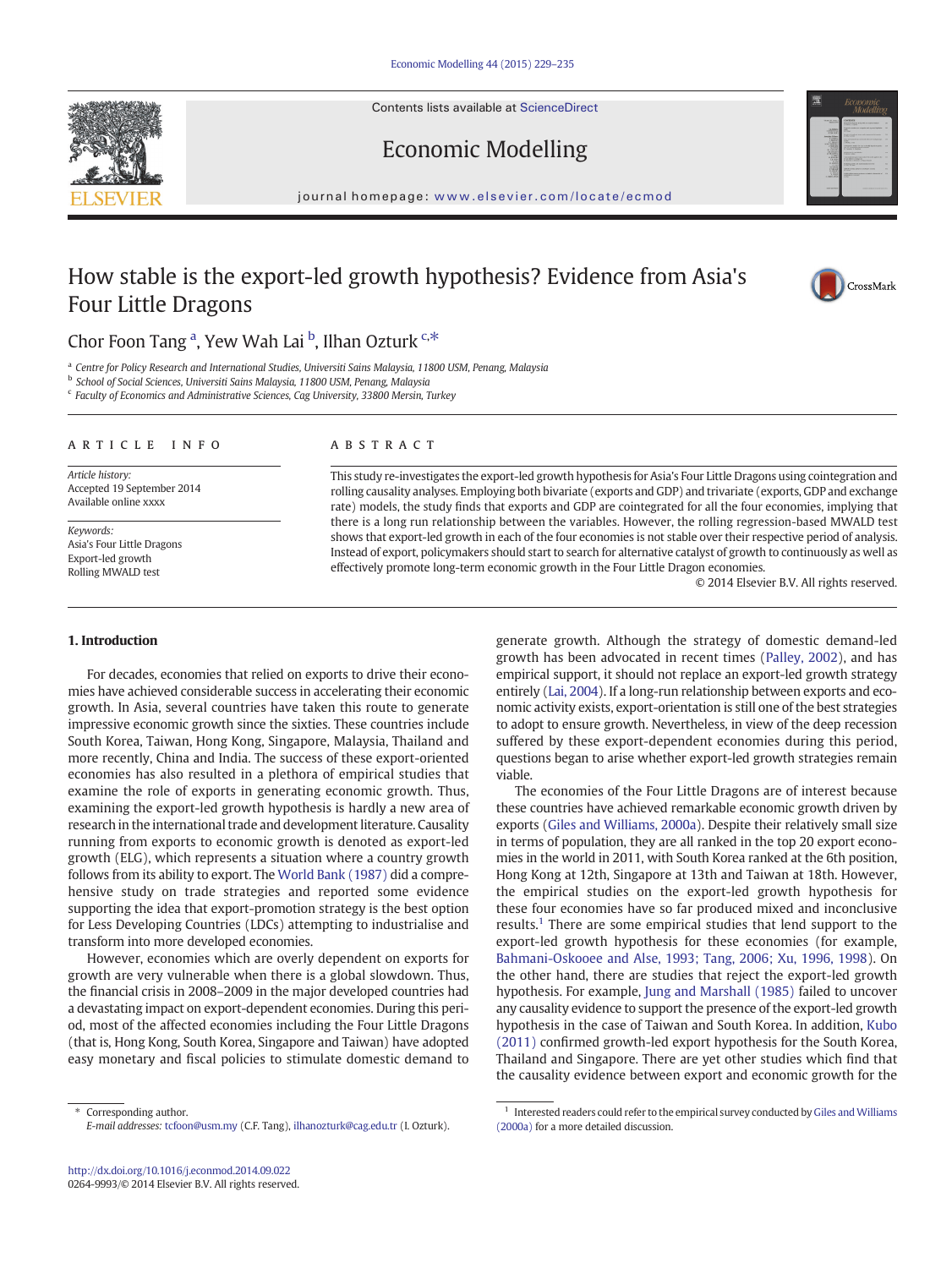Contents lists available at [ScienceDirect](http://www.sciencedirect.com/science/journal/02649993)





## Economic Modelling

journal homepage: <www.elsevier.com/locate/ecmod>

## How stable is the export-led growth hypothesis? Evidence from Asia's Four Little Dragons



## Chor Foon Tang <sup>a</sup>, Yew Wah Lai <sup>b</sup>, Ilhan Ozturk <sup>c,\*</sup>

<sup>a</sup> Centre for Policy Research and International Studies, Universiti Sains Malaysia, 11800 USM, Penang, Malaysia

<sup>b</sup> School of Social Sciences, Universiti Sains Malaysia, 11800 USM, Penang, Malaysia

<sup>c</sup> Faculty of Economics and Administrative Sciences, Cag University, 33800 Mersin, Turkey

#### article info abstract

Article history: Accepted 19 September 2014 Available online xxxx

Keywords: Asia's Four Little Dragons Export-led growth Rolling MWALD test

This study re-investigates the export-led growth hypothesis for Asia's Four Little Dragons using cointegration and rolling causality analyses. Employing both bivariate (exports and GDP) and trivariate (exports, GDP and exchange rate) models, the study finds that exports and GDP are cointegrated for all the four economies, implying that there is a long run relationship between the variables. However, the rolling regression-based MWALD test shows that export-led growth in each of the four economies is not stable over their respective period of analysis. Instead of export, policymakers should start to search for alternative catalyst of growth to continuously as well as effectively promote long-term economic growth in the Four Little Dragon economies.

© 2014 Elsevier B.V. All rights reserved.

#### 1. Introduction

For decades, economies that relied on exports to drive their economies have achieved considerable success in accelerating their economic growth. In Asia, several countries have taken this route to generate impressive economic growth since the sixties. These countries include South Korea, Taiwan, Hong Kong, Singapore, Malaysia, Thailand and more recently, China and India. The success of these export-oriented economies has also resulted in a plethora of empirical studies that examine the role of exports in generating economic growth. Thus, examining the export-led growth hypothesis is hardly a new area of research in the international trade and development literature. Causality running from exports to economic growth is denoted as export-led growth (ELG), which represents a situation where a country growth follows from its ability to export. The [World Bank \(1987\)](#page-6-0) did a comprehensive study on trade strategies and reported some evidence supporting the idea that export-promotion strategy is the best option for Less Developing Countries (LDCs) attempting to industrialise and transform into more developed economies.

However, economies which are overly dependent on exports for growth are very vulnerable when there is a global slowdown. Thus, the financial crisis in 2008–2009 in the major developed countries had a devastating impact on export-dependent economies. During this period, most of the affected economies including the Four Little Dragons (that is, Hong Kong, South Korea, Singapore and Taiwan) have adopted easy monetary and fiscal policies to stimulate domestic demand to

⁎ Corresponding author. E-mail addresses: [tcfoon@usm.my](mailto:tcfoon@usm.my) (C.F. Tang), [ilhanozturk@cag.edu.tr](mailto:ilhanozturk@cag.edu.tr) (I. Ozturk). generate growth. Although the strategy of domestic demand-led growth has been advocated in recent times [\(Palley, 2002](#page-5-0)), and has empirical support, it should not replace an export-led growth strategy entirely [\(Lai, 2004](#page-5-0)). If a long-run relationship between exports and economic activity exists, export-orientation is still one of the best strategies to adopt to ensure growth. Nevertheless, in view of the deep recession suffered by these export-dependent economies during this period, questions began to arise whether export-led growth strategies remain viable.

The economies of the Four Little Dragons are of interest because these countries have achieved remarkable economic growth driven by exports [\(Giles and Williams, 2000a\)](#page-5-0). Despite their relatively small size in terms of population, they are all ranked in the top 20 export economies in the world in 2011, with South Korea ranked at the 6th position, Hong Kong at 12th, Singapore at 13th and Taiwan at 18th. However, the empirical studies on the export-led growth hypothesis for these four economies have so far produced mixed and inconclusive results.<sup>1</sup> There are some empirical studies that lend support to the export-led growth hypothesis for these economies (for example, [Bahmani-Oskooee and Alse, 1993; Tang, 2006; Xu, 1996, 1998\)](#page-5-0). On the other hand, there are studies that reject the export-led growth hypothesis. For example, [Jung and Marshall \(1985\)](#page-5-0) failed to uncover any causality evidence to support the presence of the export-led growth hypothesis in the case of Taiwan and South Korea. In addition, [Kubo](#page-5-0) [\(2011\)](#page-5-0) confirmed growth-led export hypothesis for the South Korea, Thailand and Singapore. There are yet other studies which find that the causality evidence between export and economic growth for the

 $^{\rm 1}$  Interested readers could refer to the empirical survey conducted by [Giles and Williams](#page-5-0) [\(2000a\)](#page-5-0) for a more detailed discussion.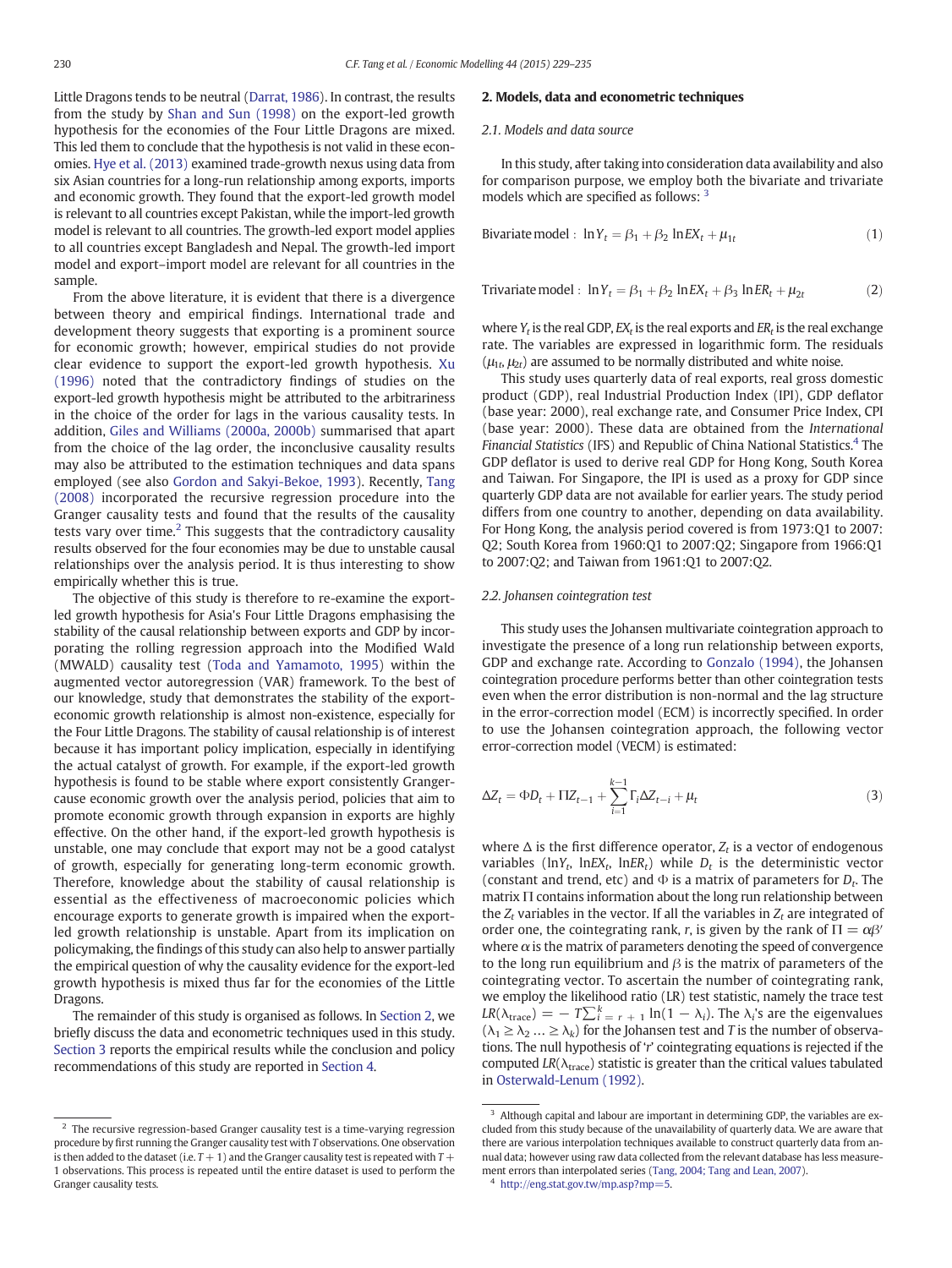Little Dragons tends to be neutral ([Darrat, 1986\)](#page-5-0). In contrast, the results from the study by [Shan and Sun \(1998\)](#page-5-0) on the export-led growth hypothesis for the economies of the Four Little Dragons are mixed. This led them to conclude that the hypothesis is not valid in these economies. [Hye et al. \(2013\)](#page-5-0) examined trade-growth nexus using data from six Asian countries for a long-run relationship among exports, imports and economic growth. They found that the export-led growth model is relevant to all countries except Pakistan, while the import-led growth model is relevant to all countries. The growth-led export model applies to all countries except Bangladesh and Nepal. The growth-led import model and export–import model are relevant for all countries in the sample.

From the above literature, it is evident that there is a divergence between theory and empirical findings. International trade and development theory suggests that exporting is a prominent source for economic growth; however, empirical studies do not provide clear evidence to support the export-led growth hypothesis. [Xu](#page-6-0) [\(1996\)](#page-6-0) noted that the contradictory findings of studies on the export-led growth hypothesis might be attributed to the arbitrariness in the choice of the order for lags in the various causality tests. In addition, [Giles and Williams \(2000a, 2000b\)](#page-5-0) summarised that apart from the choice of the lag order, the inconclusive causality results may also be attributed to the estimation techniques and data spans employed (see also [Gordon and Sakyi-Bekoe, 1993\)](#page-5-0). Recently, [Tang](#page-5-0) [\(2008\)](#page-5-0) incorporated the recursive regression procedure into the Granger causality tests and found that the results of the causality tests vary over time.<sup>2</sup> This suggests that the contradictory causality results observed for the four economies may be due to unstable causal relationships over the analysis period. It is thus interesting to show empirically whether this is true.

The objective of this study is therefore to re-examine the exportled growth hypothesis for Asia's Four Little Dragons emphasising the stability of the causal relationship between exports and GDP by incorporating the rolling regression approach into the Modified Wald (MWALD) causality test [\(Toda and Yamamoto, 1995](#page-6-0)) within the augmented vector autoregression (VAR) framework. To the best of our knowledge, study that demonstrates the stability of the exporteconomic growth relationship is almost non-existence, especially for the Four Little Dragons. The stability of causal relationship is of interest because it has important policy implication, especially in identifying the actual catalyst of growth. For example, if the export-led growth hypothesis is found to be stable where export consistently Grangercause economic growth over the analysis period, policies that aim to promote economic growth through expansion in exports are highly effective. On the other hand, if the export-led growth hypothesis is unstable, one may conclude that export may not be a good catalyst of growth, especially for generating long-term economic growth. Therefore, knowledge about the stability of causal relationship is essential as the effectiveness of macroeconomic policies which encourage exports to generate growth is impaired when the exportled growth relationship is unstable. Apart from its implication on policymaking, the findings of this study can also help to answer partially the empirical question of why the causality evidence for the export-led growth hypothesis is mixed thus far for the economies of the Little Dragons.

The remainder of this study is organised as follows. In Section 2, we briefly discuss the data and econometric techniques used in this study. [Section 3](#page-2-0) reports the empirical results while the conclusion and policy recommendations of this study are reported in [Section 4.](#page-5-0)

#### 2. Models, data and econometric techniques

#### 2.1. Models and data source

In this study, after taking into consideration data availability and also for comparison purpose, we employ both the bivariate and trivariate models which are specified as follows: <sup>3</sup>

Bivariate model : 
$$
\ln Y_t = \beta_1 + \beta_2 \ln EX_t + \mu_{1t}
$$
 (1)

Trivariate model : 
$$
\ln Y_t = \beta_1 + \beta_2 \ln EX_t + \beta_3 \ln ER_t + \mu_{2t}
$$
 (2)

where  $Y_t$  is the real GDP,  $EX_t$  is the real exports and  $ER_t$  is the real exchange rate. The variables are expressed in logarithmic form. The residuals  $(\mu_1, \mu_2)$  are assumed to be normally distributed and white noise.

This study uses quarterly data of real exports, real gross domestic product (GDP), real Industrial Production Index (IPI), GDP deflator (base year: 2000), real exchange rate, and Consumer Price Index, CPI (base year: 2000). These data are obtained from the International Financial Statistics (IFS) and Republic of China National Statistics.<sup>4</sup> The GDP deflator is used to derive real GDP for Hong Kong, South Korea and Taiwan. For Singapore, the IPI is used as a proxy for GDP since quarterly GDP data are not available for earlier years. The study period differs from one country to another, depending on data availability. For Hong Kong, the analysis period covered is from 1973:Q1 to 2007: Q2; South Korea from 1960:Q1 to 2007:Q2; Singapore from 1966:Q1 to 2007:Q2; and Taiwan from 1961:Q1 to 2007:Q2.

#### 2.2. Johansen cointegration test

This study uses the Johansen multivariate cointegration approach to investigate the presence of a long run relationship between exports, GDP and exchange rate. According to [Gonzalo \(1994\)](#page-5-0), the Johansen cointegration procedure performs better than other cointegration tests even when the error distribution is non-normal and the lag structure in the error-correction model (ECM) is incorrectly specified. In order to use the Johansen cointegration approach, the following vector error-correction model (VECM) is estimated:

$$
\Delta Z_t = \Phi D_t + \Pi Z_{t-1} + \sum_{i=1}^{k-1} \Gamma_i \Delta Z_{t-i} + \mu_t
$$
\n(3)

where  $\Delta$  is the first difference operator,  $Z_t$  is a vector of endogenous variables (lnY<sub>t</sub>, lnEX<sub>t</sub>, lnER<sub>t</sub>) while  $D_t$  is the deterministic vector (constant and trend, etc) and  $\Phi$  is a matrix of parameters for  $D_t$ . The matrix Π contains information about the long run relationship between the  $Z_t$  variables in the vector. If all the variables in  $Z_t$  are integrated of order one, the cointegrating rank, r, is given by the rank of  $\Pi = \alpha \beta'$ where  $\alpha$  is the matrix of parameters denoting the speed of convergence to the long run equilibrium and  $\beta$  is the matrix of parameters of the cointegrating vector. To ascertain the number of cointegrating rank, we employ the likelihood ratio (LR) test statistic, namely the trace test  $LR(\lambda_{\text{trace}}) = -T\sum_{i=1}^{k} \ln(1-\lambda_i)$ . The  $\lambda_i$ 's are the eigenvalues  $(\lambda_1 \geq \lambda_2 ... \geq \lambda_k)$  for the Johansen test and T is the number of observations. The null hypothesis of 'r' cointegrating equations is rejected if the computed  $LR(\lambda_{\text{trace}})$  statistic is greater than the critical values tabulated in [Osterwald-Lenum \(1992\)](#page-5-0).

<sup>&</sup>lt;sup>2</sup> The recursive regression-based Granger causality test is a time-varying regression procedure by first running the Granger causality test with T observations. One observation is then added to the dataset (i.e.  $T + 1$ ) and the Granger causality test is repeated with  $T +$ 1 observations. This process is repeated until the entire dataset is used to perform the Granger causality tests.

<sup>&</sup>lt;sup>3</sup> Although capital and labour are important in determining GDP, the variables are excluded from this study because of the unavailability of quarterly data. We are aware that there are various interpolation techniques available to construct quarterly data from annual data; however using raw data collected from the relevant database has less measurement errors than interpolated series ([Tang, 2004; Tang and Lean, 2007\)](#page-5-0).

<http://eng.stat.gov.tw/mp.asp?mp=5>.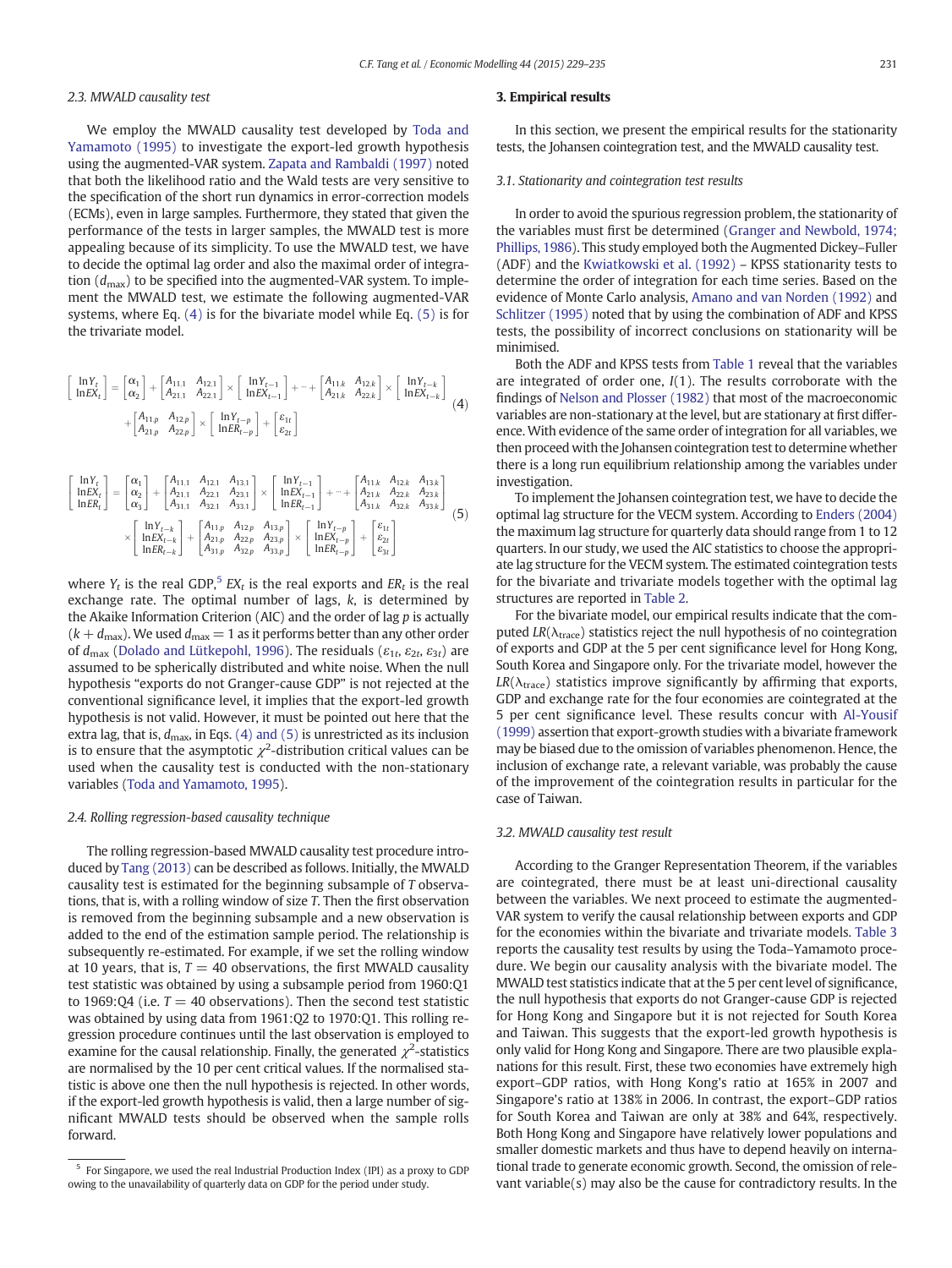### <span id="page-2-0"></span>2.3. MWALD causality test

We employ the MWALD causality test developed by [Toda and](#page-6-0) [Yamamoto \(1995\)](#page-6-0) to investigate the export-led growth hypothesis using the augmented-VAR system. [Zapata and Rambaldi \(1997\)](#page-6-0) noted that both the likelihood ratio and the Wald tests are very sensitive to the specification of the short run dynamics in error-correction models (ECMs), even in large samples. Furthermore, they stated that given the performance of the tests in larger samples, the MWALD test is more appealing because of its simplicity. To use the MWALD test, we have to decide the optimal lag order and also the maximal order of integration  $(d_{\text{max}})$  to be specified into the augmented-VAR system. To implement the MWALD test, we estimate the following augmented-VAR systems, where Eq. (4) is for the bivariate model while Eq. (5) is for the trivariate model.

$$
\begin{bmatrix} \ln Y_t \\ \ln E X_t \end{bmatrix} = \begin{bmatrix} \alpha_1 \\ \alpha_2 \end{bmatrix} + \begin{bmatrix} A_{11,1} & A_{12,1} \\ A_{21,1} & A_{22,1} \end{bmatrix} \times \begin{bmatrix} \ln Y_{t-1} \\ \ln E X_{t-1} \end{bmatrix} + \cdots + \begin{bmatrix} A_{11,k} & A_{12,k} \\ A_{21,k} & A_{22,k} \end{bmatrix} \times \begin{bmatrix} \ln Y_{t-k} \\ \ln E X_{t-k} \end{bmatrix}
$$

$$
+ \begin{bmatrix} A_{11,p} & A_{12,p} \\ A_{21,p} & A_{22,p} \end{bmatrix} \times \begin{bmatrix} \ln Y_{t-p} \\ \ln E R_{t-p} \end{bmatrix} + \begin{bmatrix} \varepsilon_{1t} \\ \varepsilon_{2t} \end{bmatrix}
$$
(4)

$$
\begin{bmatrix} \ln Y_t \\ \ln E X_t \\ \ln E R_t \end{bmatrix} = \begin{bmatrix} \alpha_1 \\ \alpha_2 \\ \alpha_3 \end{bmatrix} + \begin{bmatrix} A_{11,1} & A_{12,1} & A_{13,1} \\ A_{21,1} & A_{22,1} & A_{23,1} \\ A_{31,1} & A_{32,1} & A_{33,1} \end{bmatrix} \times \begin{bmatrix} \ln Y_{t-1} \\ \ln E X_{t-1} \\ \ln E R_{t-1} \end{bmatrix} + \dots + \begin{bmatrix} A_{11,k} & A_{12,k} & A_{13,k} \\ A_{21,k} & A_{22,k} & A_{23,k} \\ A_{31,k} & A_{32,k} & A_{33,k} \end{bmatrix}
$$

$$
\times \begin{bmatrix} \ln Y_{t-k} \\ \ln E X_{t-k} \\ \ln E R_{t-k} \end{bmatrix} + \begin{bmatrix} A_{11,p} & A_{12,p} & A_{13,p} \\ A_{21,p} & A_{22,p} & A_{23,p} \\ A_{31,p} & A_{32,p} & A_{33,p} \end{bmatrix} \times \begin{bmatrix} \ln Y_{t-p} \\ \ln E X_{t-p} \\ \ln E R_{t-p} \end{bmatrix} + \begin{bmatrix} \varepsilon_{\rm{tr}} \\ \varepsilon_{\rm{2t}} \\ \varepsilon_{\rm{3t}} \end{bmatrix}
$$
(5)

where  $Y_t$  is the real GDP,<sup>5</sup> EX<sub>t</sub> is the real exports and ER<sub>t</sub> is the real exchange rate. The optimal number of lags, k, is determined by the Akaike Information Criterion (AIC) and the order of lag p is actually  $(k + d_{\text{max}})$ . We used  $d_{\text{max}} = 1$  as it performs better than any other order of  $d_{\text{max}}$  [\(Dolado and Lütkepohl, 1996\)](#page-5-0). The residuals ( $\varepsilon_{1t}$ ,  $\varepsilon_{2t}$ ,  $\varepsilon_{3t}$ ) are assumed to be spherically distributed and white noise. When the null hypothesis "exports do not Granger-cause GDP" is not rejected at the conventional significance level, it implies that the export-led growth hypothesis is not valid. However, it must be pointed out here that the extra lag, that is,  $d_{\text{max}}$ , in Eqs. (4) and (5) is unrestricted as its inclusion is to ensure that the asymptotic  $\chi^2$ -distribution critical values can be used when the causality test is conducted with the non-stationary variables ([Toda and Yamamoto, 1995\)](#page-6-0).

#### 2.4. Rolling regression-based causality technique

The rolling regression-based MWALD causality test procedure introduced by [Tang \(2013\)](#page-6-0) can be described as follows. Initially, the MWALD causality test is estimated for the beginning subsample of T observations, that is, with a rolling window of size T. Then the first observation is removed from the beginning subsample and a new observation is added to the end of the estimation sample period. The relationship is subsequently re-estimated. For example, if we set the rolling window at 10 years, that is,  $T = 40$  observations, the first MWALD causality test statistic was obtained by using a subsample period from 1960:Q1 to 1969:04 (i.e.  $T = 40$  observations). Then the second test statistic was obtained by using data from 1961:Q2 to 1970:Q1. This rolling regression procedure continues until the last observation is employed to examine for the causal relationship. Finally, the generated  $\chi^2$ -statistics are normalised by the 10 per cent critical values. If the normalised statistic is above one then the null hypothesis is rejected. In other words, if the export-led growth hypothesis is valid, then a large number of significant MWALD tests should be observed when the sample rolls forward.

#### 3. Empirical results

In this section, we present the empirical results for the stationarity tests, the Johansen cointegration test, and the MWALD causality test.

#### 3.1. Stationarity and cointegration test results

In order to avoid the spurious regression problem, the stationarity of the variables must first be determined [\(Granger and Newbold, 1974;](#page-5-0) [Phillips, 1986\)](#page-5-0). This study employed both the Augmented Dickey–Fuller (ADF) and the [Kwiatkowski et al. \(1992\)](#page-5-0) – KPSS stationarity tests to determine the order of integration for each time series. Based on the evidence of Monte Carlo analysis, [Amano and van Norden \(1992\)](#page-5-0) and [Schlitzer \(1995\)](#page-5-0) noted that by using the combination of ADF and KPSS tests, the possibility of incorrect conclusions on stationarity will be minimised.

Both the ADF and KPSS tests from [Table 1](#page-3-0) reveal that the variables are integrated of order one, I(1). The results corroborate with the findings of [Nelson and Plosser \(1982\)](#page-5-0) that most of the macroeconomic variables are non-stationary at the level, but are stationary at first difference. With evidence of the same order of integration for all variables, we then proceed with the Johansen cointegration test to determine whether there is a long run equilibrium relationship among the variables under investigation.

To implement the Johansen cointegration test, we have to decide the optimal lag structure for the VECM system. According to [Enders \(2004\)](#page-5-0) the maximum lag structure for quarterly data should range from 1 to 12 quarters. In our study, we used the AIC statistics to choose the appropriate lag structure for the VECM system. The estimated cointegration tests for the bivariate and trivariate models together with the optimal lag structures are reported in [Table 2](#page-3-0).

For the bivariate model, our empirical results indicate that the computed  $LR(\lambda_{\text{trace}})$  statistics reject the null hypothesis of no cointegration of exports and GDP at the 5 per cent significance level for Hong Kong, South Korea and Singapore only. For the trivariate model, however the  $LR(\lambda_{\text{trace}})$  statistics improve significantly by affirming that exports, GDP and exchange rate for the four economies are cointegrated at the 5 per cent significance level. These results concur with [Al-Yousif](#page-5-0) [\(1999\)](#page-5-0) assertion that export-growth studies with a bivariate framework may be biased due to the omission of variables phenomenon. Hence, the inclusion of exchange rate, a relevant variable, was probably the cause of the improvement of the cointegration results in particular for the case of Taiwan.

#### 3.2. MWALD causality test result

According to the Granger Representation Theorem, if the variables are cointegrated, there must be at least uni-directional causality between the variables. We next proceed to estimate the augmented-VAR system to verify the causal relationship between exports and GDP for the economies within the bivariate and trivariate models. [Table 3](#page-3-0) reports the causality test results by using the Toda–Yamamoto procedure. We begin our causality analysis with the bivariate model. The MWALD test statistics indicate that at the 5 per cent level of significance, the null hypothesis that exports do not Granger-cause GDP is rejected for Hong Kong and Singapore but it is not rejected for South Korea and Taiwan. This suggests that the export-led growth hypothesis is only valid for Hong Kong and Singapore. There are two plausible explanations for this result. First, these two economies have extremely high export–GDP ratios, with Hong Kong's ratio at 165% in 2007 and Singapore's ratio at 138% in 2006. In contrast, the export–GDP ratios for South Korea and Taiwan are only at 38% and 64%, respectively. Both Hong Kong and Singapore have relatively lower populations and smaller domestic markets and thus have to depend heavily on international trade to generate economic growth. Second, the omission of relevant variable(s) may also be the cause for contradictory results. In the

<sup>5</sup> For Singapore, we used the real Industrial Production Index (IPI) as a proxy to GDP owing to the unavailability of quarterly data on GDP for the period under study.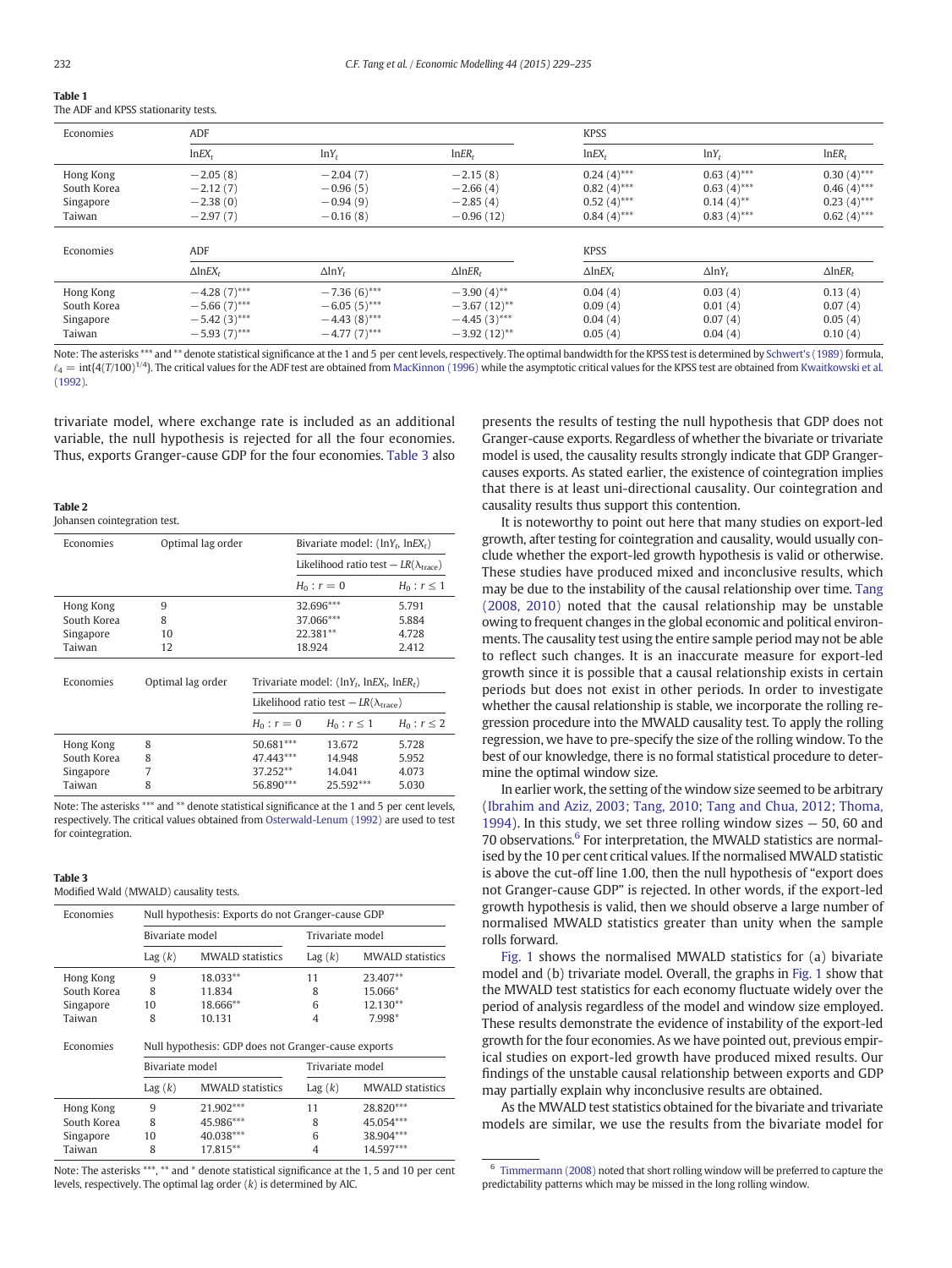# <span id="page-3-0"></span>Table 1

|  |  | The ADF and KPSS stationarity tests. |  |
|--|--|--------------------------------------|--|

| Economies   | ADF                           |                           |                               | <b>KPSS</b>                   |                           |                               |
|-------------|-------------------------------|---------------------------|-------------------------------|-------------------------------|---------------------------|-------------------------------|
|             | $lnEX_t$                      | $lnY_t$                   | InER <sub>r</sub>             | $lnEX_t$                      | $lnY_t$                   | InER <sub>t</sub>             |
| Hong Kong   | $-2.05(8)$                    | $-2.04(7)$                | $-2.15(8)$                    | $0.24(4)$ ***                 | $0.63(4)$ ***             | $0.30(4)$ ***                 |
| South Korea | $-2.12(7)$                    | $-0.96(5)$                | $-2.66(4)$                    | $0.82(4)$ ***                 | $0.63(4)$ ***             | $0.46(4)$ ***                 |
| Singapore   | $-2.38(0)$                    | $-0.94(9)$                | $-2.85(4)$                    | $0.52(4)$ ***                 | $0.14(4)$ **              | $0.23(4)$ ***                 |
| Taiwan      | $-2.97(7)$                    | $-0.16(8)$                | $-0.96(12)$                   | $0.84(4)$ ***                 | $0.83(4)$ ***             | $0.62(4)$ ***                 |
|             |                               |                           |                               |                               |                           |                               |
| Economies   | ADF                           |                           |                               | <b>KPSS</b>                   |                           |                               |
|             | $\triangle$ lnEX <sub>t</sub> | $\Delta$ lnY <sub>t</sub> | $\triangle$ lnER <sub>t</sub> | $\triangle$ lnEX <sub>t</sub> | $\Delta$ lnY <sub>t</sub> | $\triangle$ lnER <sub>t</sub> |
| Hong Kong   | $-4.28(7)$ ***                | $-7.36(6)$ ***            | $-3.90(4)$ **                 | 0.04(4)                       | 0.03(4)                   | 0.13(4)                       |
| South Korea | $-5.66(7)$ ***                | $-6.05(5)$ ***            | $-3.67(12)$ **                | 0.09(4)                       | 0.01(4)                   | 0.07(4)                       |
| Singapore   | $-5.42(3)$ ***                | $-4.43(8)$ ***            | $-4.45(3)$ ***                | 0.04(4)                       | 0.07(4)                   | 0.05(4)                       |
| Taiwan      | $-5.93(7)$ ***                | $-4.77(7)$ ***            | $-3.92(12)$ **                | 0.05(4)                       | 0.04(4)                   | 0.10(4)                       |

Note: The asterisks \*\*\* and \*\* denote statistical significance at the 1 and 5 per cent levels, respectively. The optimal bandwidth for the KPSS test is determined by [Schwert's \(1989\)](#page-5-0) formula,  $\ell_4 = \text{int}$ [4(T/100)<sup>1/4</sup>}. The critical values for the ADF test are obtained from [MacKinnon \(1996\)](#page-5-0) while the asymptotic critical values for the KPSS test are obtained from [Kwaitkowski et al.](#page-5-0) [\(1992\)](#page-5-0).

trivariate model, where exchange rate is included as an additional variable, the null hypothesis is rejected for all the four economies. Thus, exports Granger-cause GDP for the four economies. Table 3 also

#### Table 2

Johansen cointegration test.

| Economies   | Optimal lag order |                                                         | Bivariate model: $(lnY_t, lnEX_t)$<br>Likelihood ratio test – $LR(\lambda_{\text{trace}})$ |                 |  |
|-------------|-------------------|---------------------------------------------------------|--------------------------------------------------------------------------------------------|-----------------|--|
|             |                   |                                                         |                                                                                            |                 |  |
|             |                   |                                                         | $H_0: r = 0$                                                                               | $H_0: r \leq 1$ |  |
| Hong Kong   | 9                 |                                                         | 32.696***                                                                                  | 5.791           |  |
| South Korea | 8                 |                                                         | 37.066***                                                                                  | 5.884           |  |
| Singapore   | 10                |                                                         | 22.381**                                                                                   | 4.728           |  |
| Taiwan      | 12                |                                                         | 18.924                                                                                     | 2.412           |  |
| Economies   | Optimal lag order | Trivariate model: $\ln Y_t$ , $\ln EX_t$ , $\ln ER_t$ ) |                                                                                            |                 |  |
|             |                   | Likelihood ratio test $- LR(\lambda_{\text{trace}})$    |                                                                                            |                 |  |
|             |                   | $H_0: r = 0$                                            | $H_0: r \leq 1$                                                                            | $H_0: r \leq 2$ |  |
| Hong Kong   | 8                 | 50.681***                                               | 13.672                                                                                     | 5.728           |  |
| South Korea | 8                 | 47.443***                                               | 14.948                                                                                     | 5.952           |  |
| Singapore   | 7                 | 37.252**                                                | 14.041                                                                                     | 4.073           |  |
| Taiwan      | 8                 | 56.890***                                               | 25.592***                                                                                  | 5.030           |  |

Note: The asterisks \*\*\* and \*\* denote statistical significance at the 1 and 5 per cent levels, respectively. The critical values obtained from [Osterwald-Lenum \(1992\)](#page-5-0) are used to test for cointegration.

#### Table 3

Modified Wald (MWALD) causality tests.

| Economies                                                        | Null hypothesis: Exports do not Granger-cause GDP |                         |                  |                         |  |  |
|------------------------------------------------------------------|---------------------------------------------------|-------------------------|------------------|-------------------------|--|--|
|                                                                  | Bivariate model                                   |                         | Trivariate model |                         |  |  |
|                                                                  | Lag(k)                                            | <b>MWALD</b> statistics | Lag(k)           | <b>MWALD</b> statistics |  |  |
| Hong Kong                                                        | 9                                                 | 18.033**                | 11               | 23.407**                |  |  |
| South Korea                                                      | 8                                                 | 11.834                  | 8                | 15.066*                 |  |  |
| Singapore                                                        | 10                                                | 18.666**                | 6                | 12.130**                |  |  |
| Taiwan                                                           | 8                                                 | 10.131                  | 4                | 7.998*                  |  |  |
| Economies<br>Null hypothesis: GDP does not Granger-cause exports |                                                   |                         |                  |                         |  |  |
|                                                                  |                                                   | Bivariate model         |                  | Trivariate model        |  |  |
|                                                                  | Lag(k)                                            | <b>MWALD</b> statistics | Lag(k)           | <b>MWALD</b> statistics |  |  |
| Hong Kong                                                        | 9                                                 | 21.902***               | 11               | 28.820***               |  |  |
| South Korea                                                      | 8                                                 | 45.986***               | 8                | 45.054***               |  |  |
| Singapore                                                        | 10                                                | 40.038***               | 6                | 38.904***               |  |  |
| Taiwan                                                           | 8                                                 | 17.815**                | 4                | 14.597***               |  |  |

Note: The asterisks \*\*\*, \*\* and \* denote statistical significance at the 1, 5 and 10 per cent levels, respectively. The optimal lag order  $(k)$  is determined by AIC.

presents the results of testing the null hypothesis that GDP does not Granger-cause exports. Regardless of whether the bivariate or trivariate model is used, the causality results strongly indicate that GDP Grangercauses exports. As stated earlier, the existence of cointegration implies that there is at least uni-directional causality. Our cointegration and causality results thus support this contention.

It is noteworthy to point out here that many studies on export-led growth, after testing for cointegration and causality, would usually conclude whether the export-led growth hypothesis is valid or otherwise. These studies have produced mixed and inconclusive results, which may be due to the instability of the causal relationship over time. [Tang](#page-5-0) [\(2008, 2010\)](#page-5-0) noted that the causal relationship may be unstable owing to frequent changes in the global economic and political environments. The causality test using the entire sample period may not be able to reflect such changes. It is an inaccurate measure for export-led growth since it is possible that a causal relationship exists in certain periods but does not exist in other periods. In order to investigate whether the causal relationship is stable, we incorporate the rolling regression procedure into the MWALD causality test. To apply the rolling regression, we have to pre-specify the size of the rolling window. To the best of our knowledge, there is no formal statistical procedure to determine the optimal window size.

In earlier work, the setting of the window size seemed to be arbitrary [\(Ibrahim and Aziz, 2003; Tang, 2010; Tang and Chua, 2012; Thoma,](#page-5-0) [1994](#page-5-0)). In this study, we set three rolling window sizes — 50, 60 and 70 observations.<sup>6</sup> For interpretation, the MWALD statistics are normalised by the 10 per cent critical values. If the normalised MWALD statistic is above the cut-off line 1.00, then the null hypothesis of "export does not Granger-cause GDP" is rejected. In other words, if the export-led growth hypothesis is valid, then we should observe a large number of normalised MWALD statistics greater than unity when the sample rolls forward.

[Fig. 1](#page-4-0) shows the normalised MWALD statistics for (a) bivariate model and (b) trivariate model. Overall, the graphs in [Fig. 1](#page-4-0) show that the MWALD test statistics for each economy fluctuate widely over the period of analysis regardless of the model and window size employed. These results demonstrate the evidence of instability of the export-led growth for the four economies. As we have pointed out, previous empirical studies on export-led growth have produced mixed results. Our findings of the unstable causal relationship between exports and GDP may partially explain why inconclusive results are obtained.

As the MWALD test statistics obtained for the bivariate and trivariate models are similar, we use the results from the bivariate model for

<sup>6</sup> [Timmermann \(2008\)](#page-6-0) noted that short rolling window will be preferred to capture the predictability patterns which may be missed in the long rolling window.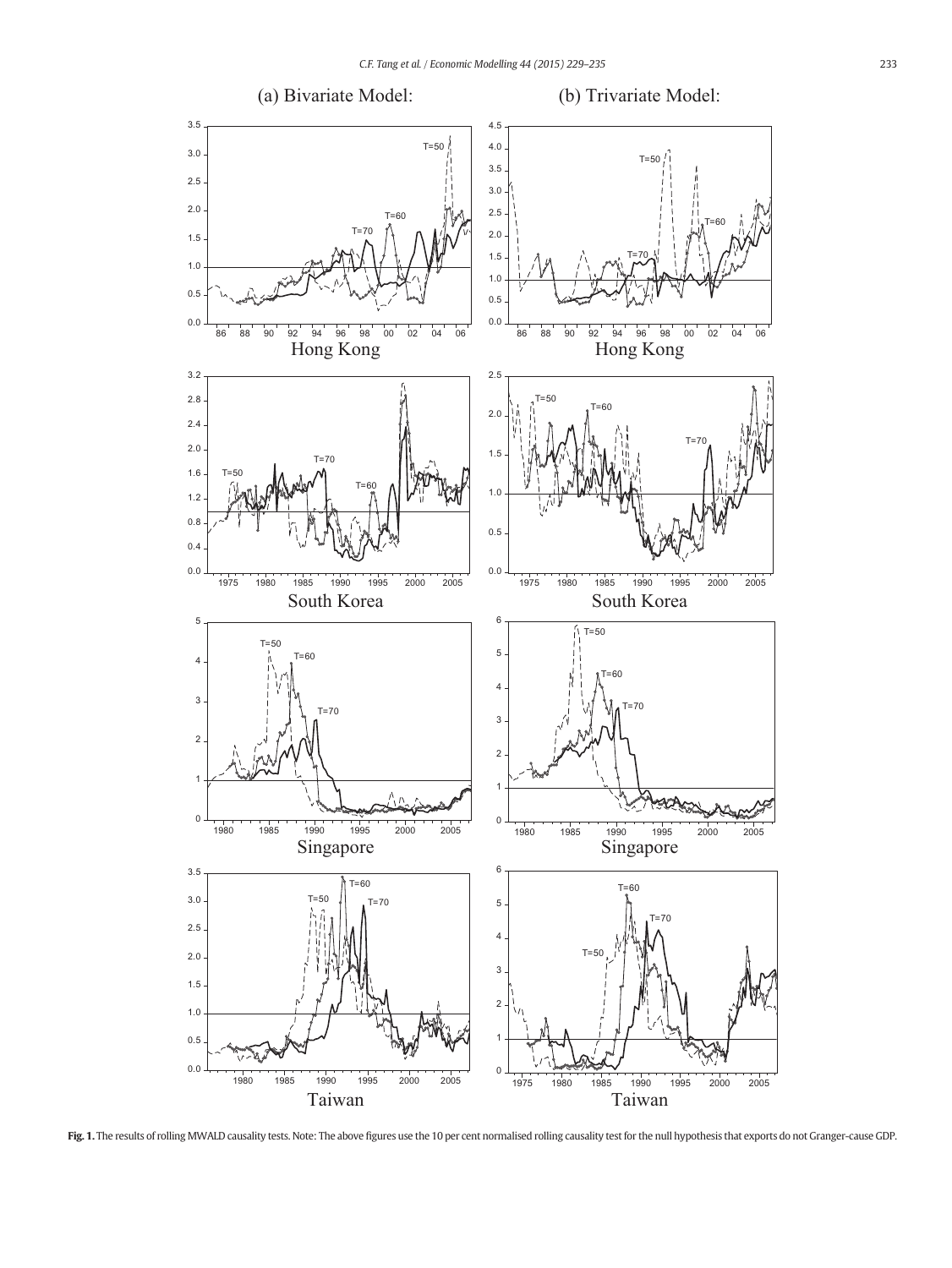<span id="page-4-0"></span>

Fig. 1. The results of rolling MWALD causality tests. Note: The above figures use the 10 per cent normalised rolling causality test for the null hypothesis that exports do not Granger-cause GDP.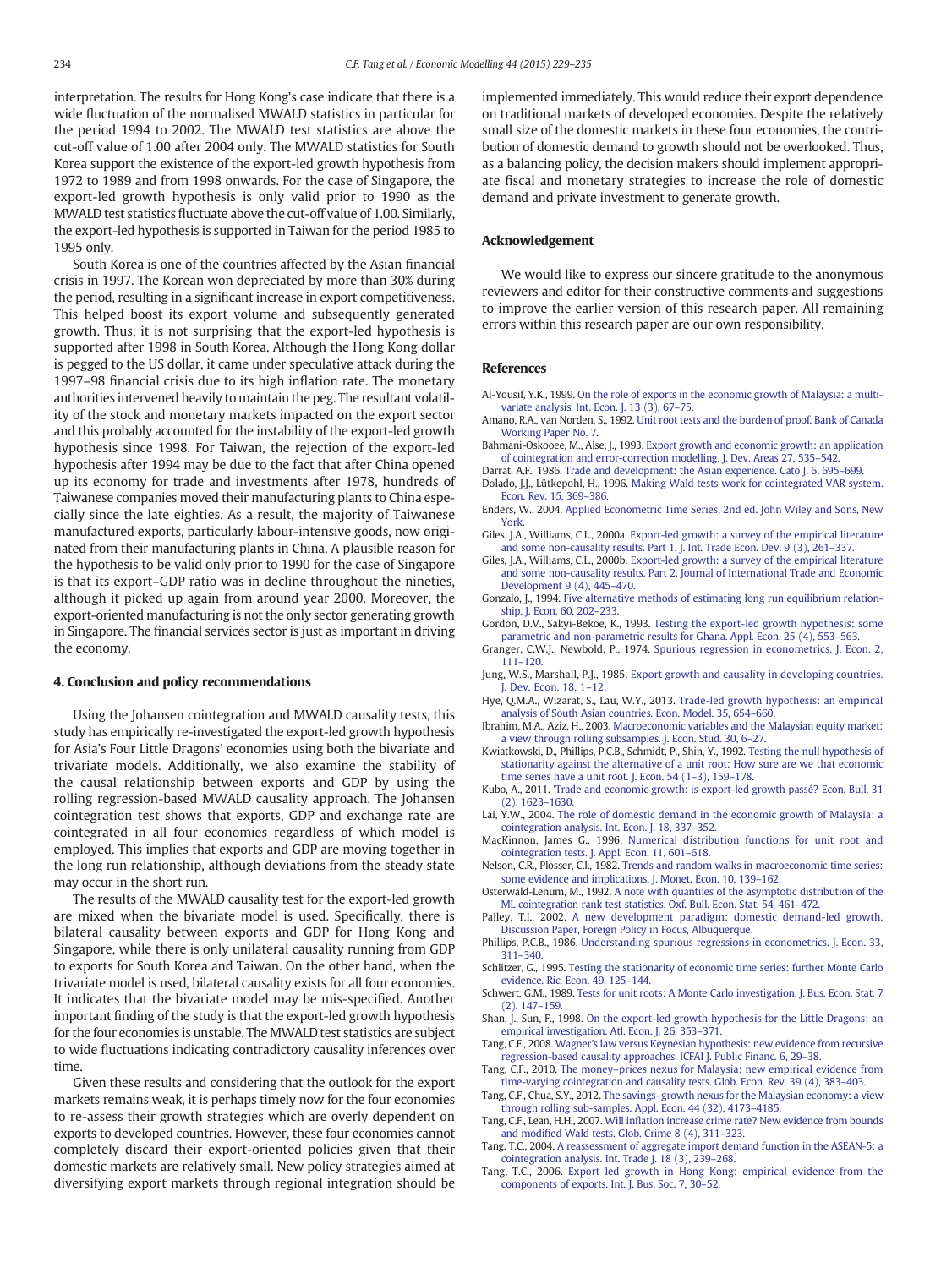<span id="page-5-0"></span>interpretation. The results for Hong Kong's case indicate that there is a wide fluctuation of the normalised MWALD statistics in particular for the period 1994 to 2002. The MWALD test statistics are above the cut-off value of 1.00 after 2004 only. The MWALD statistics for South Korea support the existence of the export-led growth hypothesis from 1972 to 1989 and from 1998 onwards. For the case of Singapore, the export-led growth hypothesis is only valid prior to 1990 as the MWALD test statistics fluctuate above the cut-off value of 1.00. Similarly, the export-led hypothesis is supported in Taiwan for the period 1985 to 1995 only.

South Korea is one of the countries affected by the Asian financial crisis in 1997. The Korean won depreciated by more than 30% during the period, resulting in a significant increase in export competitiveness. This helped boost its export volume and subsequently generated growth. Thus, it is not surprising that the export-led hypothesis is supported after 1998 in South Korea. Although the Hong Kong dollar is pegged to the US dollar, it came under speculative attack during the 1997–98 financial crisis due to its high inflation rate. The monetary authorities intervened heavily to maintain the peg. The resultant volatility of the stock and monetary markets impacted on the export sector and this probably accounted for the instability of the export-led growth hypothesis since 1998. For Taiwan, the rejection of the export-led hypothesis after 1994 may be due to the fact that after China opened up its economy for trade and investments after 1978, hundreds of Taiwanese companies moved their manufacturing plants to China especially since the late eighties. As a result, the majority of Taiwanese manufactured exports, particularly labour-intensive goods, now originated from their manufacturing plants in China. A plausible reason for the hypothesis to be valid only prior to 1990 for the case of Singapore is that its export–GDP ratio was in decline throughout the nineties, although it picked up again from around year 2000. Moreover, the export-oriented manufacturing is not the only sector generating growth in Singapore. The financial services sector is just as important in driving the economy.

#### 4. Conclusion and policy recommendations

Using the Johansen cointegration and MWALD causality tests, this study has empirically re-investigated the export-led growth hypothesis for Asia's Four Little Dragons' economies using both the bivariate and trivariate models. Additionally, we also examine the stability of the causal relationship between exports and GDP by using the rolling regression-based MWALD causality approach. The Johansen cointegration test shows that exports, GDP and exchange rate are cointegrated in all four economies regardless of which model is employed. This implies that exports and GDP are moving together in the long run relationship, although deviations from the steady state may occur in the short run.

The results of the MWALD causality test for the export-led growth are mixed when the bivariate model is used. Specifically, there is bilateral causality between exports and GDP for Hong Kong and Singapore, while there is only unilateral causality running from GDP to exports for South Korea and Taiwan. On the other hand, when the trivariate model is used, bilateral causality exists for all four economies. It indicates that the bivariate model may be mis-specified. Another important finding of the study is that the export-led growth hypothesis for the four economies is unstable. The MWALD test statistics are subject to wide fluctuations indicating contradictory causality inferences over time.

Given these results and considering that the outlook for the export markets remains weak, it is perhaps timely now for the four economies to re-assess their growth strategies which are overly dependent on exports to developed countries. However, these four economies cannot completely discard their export-oriented policies given that their domestic markets are relatively small. New policy strategies aimed at diversifying export markets through regional integration should be

implemented immediately. This would reduce their export dependence on traditional markets of developed economies. Despite the relatively small size of the domestic markets in these four economies, the contribution of domestic demand to growth should not be overlooked. Thus, as a balancing policy, the decision makers should implement appropriate fiscal and monetary strategies to increase the role of domestic demand and private investment to generate growth.

#### Acknowledgement

We would like to express our sincere gratitude to the anonymous reviewers and editor for their constructive comments and suggestions to improve the earlier version of this research paper. All remaining errors within this research paper are our own responsibility.

#### References

- Al-Yousif, Y.K., 1999. [On the role of exports in the economic growth of Malaysia: a multi](http://refhub.elsevier.com/S0264-9993(14)00392-7/rf0010)variate analysis. Int. Econ. I. 13 (3), 67-75.
- Amano, R.A., van Norden, S., 1992. [Unit root tests and the burden of proof. Bank of Canada](http://refhub.elsevier.com/S0264-9993(14)00392-7/rf0225) [Working Paper No. 7](http://refhub.elsevier.com/S0264-9993(14)00392-7/rf0225).
- Bahmani-Oskooee, M., Alse, J., 1993. [Export growth and economic growth: an application](http://refhub.elsevier.com/S0264-9993(14)00392-7/rf0015) [of cointegration and error-correction modelling. J. Dev. Areas 27, 535](http://refhub.elsevier.com/S0264-9993(14)00392-7/rf0015)–542.
- Darrat, A.F., 1986. [Trade and development: the Asian experience. Cato J. 6, 695](http://refhub.elsevier.com/S0264-9993(14)00392-7/rf0020)–699. Dolado, J.J., Lütkepohl, H., 1996. [Making Wald tests work for cointegrated VAR system.](http://refhub.elsevier.com/S0264-9993(14)00392-7/rf0025) [Econ. Rev. 15, 369](http://refhub.elsevier.com/S0264-9993(14)00392-7/rf0025)–386.
- Enders, W., 2004. [Applied Econometric Time Series, 2nd ed. John Wiley and Sons, New](http://refhub.elsevier.com/S0264-9993(14)00392-7/rf9880) [York.](http://refhub.elsevier.com/S0264-9993(14)00392-7/rf9880)
- Giles, J.A., Williams, C.L., 2000a. [Export-led growth: a survey of the empirical literature](http://refhub.elsevier.com/S0264-9993(14)00392-7/rf0030) [and some non-causality results. Part 1. J. Int. Trade Econ. Dev. 9 \(3\), 261](http://refhub.elsevier.com/S0264-9993(14)00392-7/rf0030)–337.
- Giles, J.A., Williams, C.L., 2000b. [Export-led growth: a survey of the empirical literature](http://refhub.elsevier.com/S0264-9993(14)00392-7/rf0035) [and some non-causality results. Part 2. Journal of International Trade and Economic](http://refhub.elsevier.com/S0264-9993(14)00392-7/rf0035) [Development 9 \(4\), 445](http://refhub.elsevier.com/S0264-9993(14)00392-7/rf0035)–470.
- Gonzalo, J., 1994. [Five alternative methods of estimating long run equilibrium relation](http://refhub.elsevier.com/S0264-9993(14)00392-7/rf0040)[ship. J. Econ. 60, 202](http://refhub.elsevier.com/S0264-9993(14)00392-7/rf0040)–233.
- Gordon, D.V., Sakyi-Bekoe, K., 1993. [Testing the export-led growth hypothesis: some](http://refhub.elsevier.com/S0264-9993(14)00392-7/rf0045) [parametric and non-parametric results for Ghana. Appl. Econ. 25 \(4\), 553](http://refhub.elsevier.com/S0264-9993(14)00392-7/rf0045)–563.
- Granger, C.W.J., Newbold, P., 1974. [Spurious regression in econometrics. J. Econ. 2,](http://refhub.elsevier.com/S0264-9993(14)00392-7/rf0050) 111–[120.](http://refhub.elsevier.com/S0264-9993(14)00392-7/rf0050)
- Jung, W.S., Marshall, P.J., 1985. [Export growth and causality in developing countries.](http://refhub.elsevier.com/S0264-9993(14)00392-7/rf0065) [J. Dev. Econ. 18, 1](http://refhub.elsevier.com/S0264-9993(14)00392-7/rf0065)–12.
- Hye, Q.M.A., Wizarat, S., Lau, W.Y., 2013. [Trade-led growth hypothesis: an empirical](http://refhub.elsevier.com/S0264-9993(14)00392-7/rf0070) [analysis of South Asian countries. Econ. Model. 35, 654](http://refhub.elsevier.com/S0264-9993(14)00392-7/rf0070)–660.
- Ibrahim, M.A., Aziz, H., 2003. [Macroeconomic variables and the Malaysian equity market:](http://refhub.elsevier.com/S0264-9993(14)00392-7/rf0080) [a view through rolling subsamples. J. Econ. Stud. 30, 6](http://refhub.elsevier.com/S0264-9993(14)00392-7/rf0080)–27.
- Kwiatkowski, D., Phillips, P.C.B., Schmidt, P., Shin, Y., 1992. [Testing the null hypothesis of](http://refhub.elsevier.com/S0264-9993(14)00392-7/rf0085) [stationarity against the alternative of a unit root: How sure are we that economic](http://refhub.elsevier.com/S0264-9993(14)00392-7/rf0085) [time series have a unit root. J. Econ. 54 \(1](http://refhub.elsevier.com/S0264-9993(14)00392-7/rf0085)–3), 159–178.
- Kubo, A., 2011. ['Trade and economic growth: is export-led growth passé? Econ. Bull. 31](http://refhub.elsevier.com/S0264-9993(14)00392-7/rf0090) [\(2\), 1623](http://refhub.elsevier.com/S0264-9993(14)00392-7/rf0090)–1630.
- Lai, Y.W., 2004. [The role of domestic demand in the economic growth of Malaysia: a](http://refhub.elsevier.com/S0264-9993(14)00392-7/rf0095) [cointegration analysis. Int. Econ. J. 18, 337](http://refhub.elsevier.com/S0264-9993(14)00392-7/rf0095)–352.
- MacKinnon, James G., 1996. [Numerical distribution functions for unit root and](http://refhub.elsevier.com/S0264-9993(14)00392-7/rf0100) [cointegration tests. J. Appl. Econ. 11, 601](http://refhub.elsevier.com/S0264-9993(14)00392-7/rf0100)–618.
- Nelson, C.R., Plosser, C.I., 1982. [Trends and random walks in macroeconomic time series:](http://refhub.elsevier.com/S0264-9993(14)00392-7/rf0115) [some evidence and implications. J. Monet. Econ. 10, 139](http://refhub.elsevier.com/S0264-9993(14)00392-7/rf0115)–162.
- Osterwald-Lenum, M., 1992. [A note with quantiles of the asymptotic distribution of the](http://refhub.elsevier.com/S0264-9993(14)00392-7/rf0125) [ML cointegration rank test statistics. Oxf. Bull. Econ. Stat. 54, 461](http://refhub.elsevier.com/S0264-9993(14)00392-7/rf0125)–472.
- Palley, T.I., 2002. [A new development paradigm: domestic demand-led growth.](http://refhub.elsevier.com/S0264-9993(14)00392-7/rf0230) [Discussion Paper, Foreign Policy in Focus, Albuquerque.](http://refhub.elsevier.com/S0264-9993(14)00392-7/rf0230)
- Phillips, P.C.B., 1986. [Understanding spurious regressions in econometrics. J. Econ. 33,](http://refhub.elsevier.com/S0264-9993(14)00392-7/rf0135) 311–[340.](http://refhub.elsevier.com/S0264-9993(14)00392-7/rf0135)
- Schlitzer, G., 1995. [Testing the stationarity of economic time series: further Monte Carlo](http://refhub.elsevier.com/S0264-9993(14)00392-7/rf0145) [evidence. Ric. Econ. 49, 125](http://refhub.elsevier.com/S0264-9993(14)00392-7/rf0145)–144.
- Schwert, G.M., 1989. [Tests for unit roots: A Monte Carlo investigation. J. Bus. Econ. Stat. 7](http://refhub.elsevier.com/S0264-9993(14)00392-7/rf9440) [\(2\), 147](http://refhub.elsevier.com/S0264-9993(14)00392-7/rf9440)–159.
- Shan, J., Sun, F., 1998. [On the export-led growth hypothesis for the Little Dragons: an](http://refhub.elsevier.com/S0264-9993(14)00392-7/rf0150) [empirical investigation. Atl. Econ. J. 26, 353](http://refhub.elsevier.com/S0264-9993(14)00392-7/rf0150)–371.
- Tang, C.F., 2008. [Wagner's law versus Keynesian hypothesis: new evidence from recursive](http://refhub.elsevier.com/S0264-9993(14)00392-7/rf0160) [regression-based causality approaches. ICFAI J. Public Financ. 6, 29](http://refhub.elsevier.com/S0264-9993(14)00392-7/rf0160)–38.
- Tang, C.F., 2010. The money–[prices nexus for Malaysia: new empirical evidence from](http://refhub.elsevier.com/S0264-9993(14)00392-7/rf0165) [time-varying cointegration and causality tests. Glob. Econ. Rev. 39 \(4\), 383](http://refhub.elsevier.com/S0264-9993(14)00392-7/rf0165)–403.
- Tang, C.F., Chua, S.Y., 2012. The savings–[growth nexus for the Malaysian economy: a view](http://refhub.elsevier.com/S0264-9993(14)00392-7/rf0170) [through rolling sub-samples. Appl. Econ. 44 \(32\), 4173](http://refhub.elsevier.com/S0264-9993(14)00392-7/rf0170)–4185.
- Tang, C.F., Lean, H.H., 2007. Will infl[ation increase crime rate? New evidence from bounds](http://refhub.elsevier.com/S0264-9993(14)00392-7/rf0175) and modifi[ed Wald tests. Glob. Crime 8 \(4\), 311](http://refhub.elsevier.com/S0264-9993(14)00392-7/rf0175)–323.
- Tang, T.C., 2004. [A reassessment of aggregate import demand function in the ASEAN-5: a](http://refhub.elsevier.com/S0264-9993(14)00392-7/rf0180) [cointegration analysis. Int. Trade J. 18 \(3\), 239](http://refhub.elsevier.com/S0264-9993(14)00392-7/rf0180)–268.
- Tang, T.C., 2006. [Export led growth in Hong Kong: empirical evidence from the](http://refhub.elsevier.com/S0264-9993(14)00392-7/rf0185) [components of exports. Int. J. Bus. Soc. 7, 30](http://refhub.elsevier.com/S0264-9993(14)00392-7/rf0185)–52.